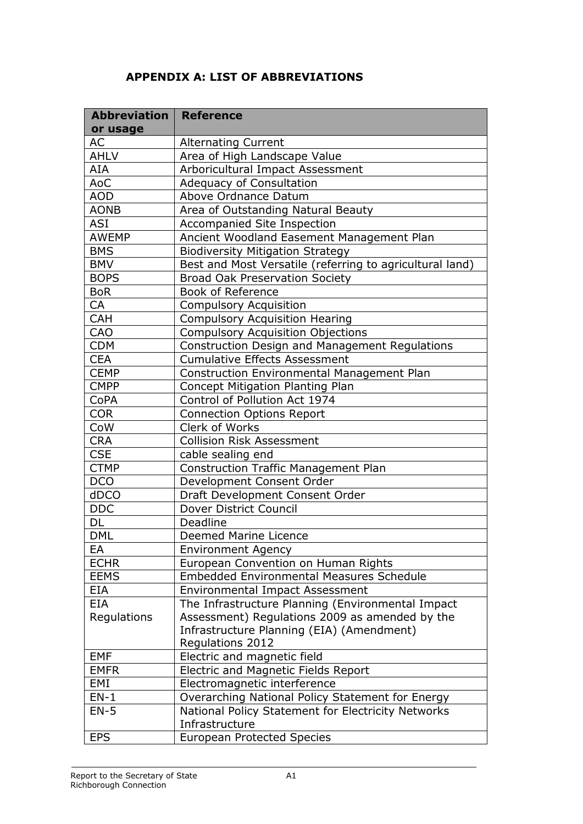## **APPENDIX A: LIST OF ABBREVIATIONS**

| <b>Abbreviation</b> | <b>Reference</b>                                         |
|---------------------|----------------------------------------------------------|
| or usage            |                                                          |
| AC                  | <b>Alternating Current</b>                               |
| <b>AHLV</b>         | Area of High Landscape Value                             |
| <b>AIA</b>          | Arboricultural Impact Assessment                         |
| AoC                 | <b>Adequacy of Consultation</b>                          |
| <b>AOD</b>          | Above Ordnance Datum                                     |
| <b>AONB</b>         | Area of Outstanding Natural Beauty                       |
| <b>ASI</b>          | Accompanied Site Inspection                              |
| <b>AWEMP</b>        | Ancient Woodland Easement Management Plan                |
| <b>BMS</b>          | <b>Biodiversity Mitigation Strategy</b>                  |
| $BM\overline{V}$    | Best and Most Versatile (referring to agricultural land) |
| <b>BOPS</b>         | <b>Broad Oak Preservation Society</b>                    |
| <b>BoR</b>          | <b>Book of Reference</b>                                 |
| CA                  | <b>Compulsory Acquisition</b>                            |
| <b>CAH</b>          | <b>Compulsory Acquisition Hearing</b>                    |
| CAO                 | <b>Compulsory Acquisition Objections</b>                 |
| <b>CDM</b>          | <b>Construction Design and Management Regulations</b>    |
| <b>CEA</b>          | <b>Cumulative Effects Assessment</b>                     |
| <b>CEMP</b>         | Construction Environmental Management Plan               |
| <b>CMPP</b>         | Concept Mitigation Planting Plan                         |
| CoPA                | Control of Pollution Act 1974                            |
| <b>COR</b>          | <b>Connection Options Report</b>                         |
| CoW                 | Clerk of Works                                           |
| <b>CRA</b>          | <b>Collision Risk Assessment</b>                         |
| <b>CSE</b>          | cable sealing end                                        |
| <b>CTMP</b>         | <b>Construction Traffic Management Plan</b>              |
| DCO                 | Development Consent Order                                |
| dDCO                | Draft Development Consent Order                          |
| <b>DDC</b>          | Dover District Council                                   |
| DL                  | Deadline                                                 |
| <b>DML</b>          | <b>Deemed Marine Licence</b>                             |
| EA                  | <b>Environment Agency</b>                                |
| <b>ECHR</b>         | European Convention on Human Rights                      |
| <b>EEMS</b>         | <b>Embedded Environmental Measures Schedule</b>          |
| EIA                 | <b>Environmental Impact Assessment</b>                   |
| <b>EIA</b>          | The Infrastructure Planning (Environmental Impact        |
| Regulations         | Assessment) Regulations 2009 as amended by the           |
|                     | Infrastructure Planning (EIA) (Amendment)                |
|                     | Regulations 2012                                         |
| <b>EMF</b>          | Electric and magnetic field                              |
| <b>EMFR</b>         | Electric and Magnetic Fields Report                      |
| EMI                 | Electromagnetic interference                             |
| $EN-1$              | Overarching National Policy Statement for Energy         |
| $EN-5$              | National Policy Statement for Electricity Networks       |
|                     | Infrastructure                                           |
| <b>EPS</b>          | <b>European Protected Species</b>                        |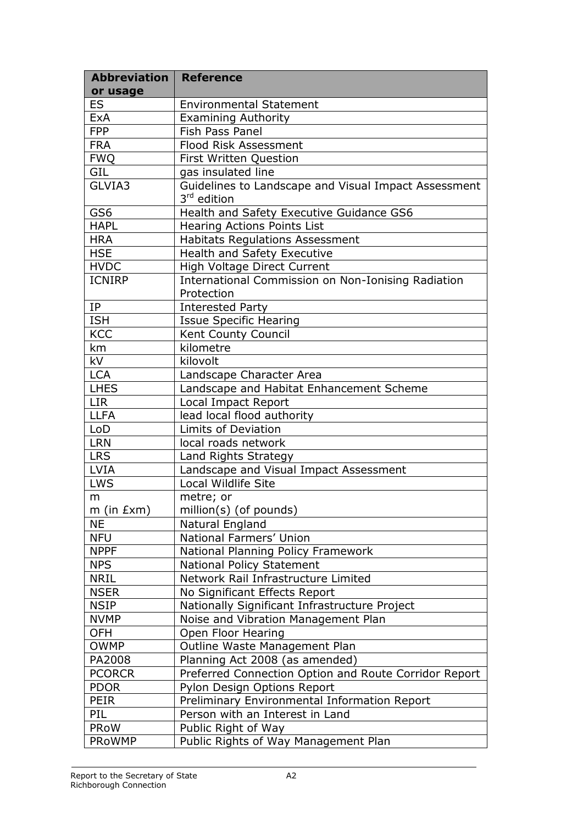| Abbreviation    | <b>Reference</b>                                                      |
|-----------------|-----------------------------------------------------------------------|
| or usage        |                                                                       |
| <b>ES</b>       | <b>Environmental Statement</b>                                        |
| <b>ExA</b>      | <b>Examining Authority</b>                                            |
| <b>FPP</b>      | <b>Fish Pass Panel</b>                                                |
| <b>FRA</b>      | <b>Flood Risk Assessment</b>                                          |
| <b>FWQ</b>      | <b>First Written Question</b>                                         |
| GIL             | gas insulated line                                                    |
| GLVIA3          | Guidelines to Landscape and Visual Impact Assessment<br>$3rd$ edition |
| GS6             | Health and Safety Executive Guidance GS6                              |
| <b>HAPL</b>     | <b>Hearing Actions Points List</b>                                    |
| <b>HRA</b>      | <b>Habitats Regulations Assessment</b>                                |
| <b>HSE</b>      | Health and Safety Executive                                           |
| <b>HVDC</b>     | <b>High Voltage Direct Current</b>                                    |
| <b>ICNIRP</b>   | International Commission on Non-Ionising Radiation<br>Protection      |
| <b>IP</b>       | <b>Interested Party</b>                                               |
| <b>ISH</b>      | <b>Issue Specific Hearing</b>                                         |
| <b>KCC</b>      | Kent County Council                                                   |
| km              | kilometre                                                             |
| kV              | kilovolt                                                              |
| <b>LCA</b>      | Landscape Character Area                                              |
| <b>LHES</b>     | Landscape and Habitat Enhancement Scheme                              |
| <b>LIR</b>      | Local Impact Report                                                   |
| <b>LLFA</b>     | lead local flood authority                                            |
| LoD             | <b>Limits of Deviation</b>                                            |
| <b>LRN</b>      | local roads network                                                   |
| <b>LRS</b>      | Land Rights Strategy                                                  |
| <b>LVIA</b>     | Landscape and Visual Impact Assessment                                |
| <b>LWS</b>      | Local Wildlife Site                                                   |
| m               | metre; or                                                             |
| $m$ (in $Exm$ ) | million(s) (of pounds)                                                |
| NE.             | Natural England                                                       |
| <b>NFU</b>      | National Farmers' Union                                               |
| <b>NPPF</b>     | National Planning Policy Framework                                    |
| <b>NPS</b>      | <b>National Policy Statement</b>                                      |
| <b>NRIL</b>     | Network Rail Infrastructure Limited                                   |
| <b>NSER</b>     | No Significant Effects Report                                         |
| <b>NSIP</b>     | Nationally Significant Infrastructure Project                         |
| <b>NVMP</b>     | Noise and Vibration Management Plan                                   |
| <b>OFH</b>      | Open Floor Hearing                                                    |
| <b>OWMP</b>     | Outline Waste Management Plan                                         |
| PA2008          | Planning Act 2008 (as amended)                                        |
| <b>PCORCR</b>   | Preferred Connection Option and Route Corridor Report                 |
| <b>PDOR</b>     | Pylon Design Options Report                                           |
| <b>PEIR</b>     | Preliminary Environmental Information Report                          |
| PIL             | Person with an Interest in Land                                       |
| PRoW            | Public Right of Way                                                   |
| <b>PRoWMP</b>   | Public Rights of Way Management Plan                                  |